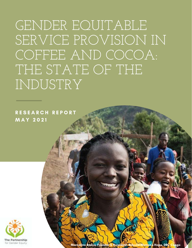GENDER EQUITABLE SERVICE PROVISION IN COFFEE AND COCOA: THE STATE OF THE INDUSTRY

R E S E A R C H R E P O R T M A Y 2 0 2 1



Marceline Budza, Founder & President, Rebuild Women's Hope, DRC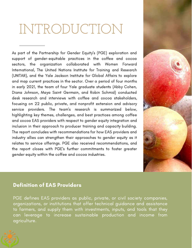## INTRODUCTION

As part of the [Partnership for Gender Equity's \(PGE\)](https://www.genderincoffee.org/) exploration and support of gender-equitable practices in the coffee and cocoa sectors, the organization collaborated with Women Forward International, The United Nations Institute for Training and Research (UNITAR), and the Yale Jackson Institute for Global Affairs to explore and map current practices in the sector. Over a period of four months in early 2021, the team of four Yale graduate students (Abby Cohen, Diana Johnson, Maya Saint Germain, and Robin Schmid) conducted desk research and interviews with coffee and cocoa stakeholders, focusing on 22 public, private, and nonprofit extension and advisory service providers. The team's research is summarized below, highlighting key themes, challenges, and best practices among coffee and cocoa EAS providers with respect to gender equity integration and inclusion in their approach to producer training and capacity building. The report concludes with recommendations for how EAS providers and industry allies can strengthen their approaches to gender equity as it relates to service offerings. PGE also received recommendations, and the report closes with PGE's further commitments to foster greater gender equity within the coffee and cocoa industries.



### Definition of EAS Providers

PGE defines EAS providers as public, private, or civil society companies, organizations, or institutions that offer technical guidance and assistance to farmers, and supply them with investments, inputs, and tools that they can leverage to increase sustainable production and income from agriculture.

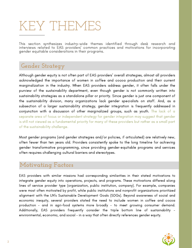## KEY THEMES

This section synthesizes industry-wide themes identified through desk research and interviews related to EAS providers' common practices and motivations for incorporating gender equitable considerations in their programs.

## **Gender Strategy**

Although gender equity is not often part of EAS providers' overall strategies, almost all providers acknowledged the importance of women in coffee and cocoa production and their current marginalization in the industry. When EAS providers address gender, it often falls under the purview of the sustainability department, even though gender is not commonly written into sustainability strategies as a standalone pillar or priority. Since gender is just one component of the sustainability division, many organizations lack gender specialists on staff. And, as a subsection of a larger sustainability strategy, gender integration is frequently addressed in conjunction with a discussion of other marginalized groups, such as youth. The lack of a separate area of focus or independent strategy for gender integration may suggest that gender is still not viewed as a fundamental priority for many of these providers but rather as a small part of the sustainability challenge.

Most gender programs (and gender strategies and/or policies, if articulated) are relatively new, often fewer than ten years old. Providers consistently spoke to the long timeline for achieving gender transformative programming, since providing gender-equitable programs and services often requires challenging cultural barriers and stereotypes.

## **Motivating Factors**

EAS providers with similar missions had corresponding similarities in their stated motivations to integrate gender equity into operations, projects, and programs. These motivations differed along lines of service provider type (organization, public institution, company). For example, companies were most often motivated by profit, while public institutions and nonprofit organizations prioritized alignment with the UN's Sustainable Development Goals (SDGs). Beyond awareness of social and economic inequity, several providers stated the need to include women in coffee and cocoa production - and in agri-food systems more broadly - to meet growing consumer demand. Additionally, EAS providers frequently consider the triple bottom line of sustainability environmental, economic, and social - in a way that often directly references gender equity.

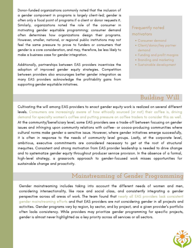Donor-funded organizations commonly noted that the inclusion of a gender component in programs is largely client-led; gender is often only a focal point of programs if a client or donor requests it. Similarly, organizations noted the role of the consumer in motivating gender equitable programming; consumer demand often determines how organizations design their programs. However, smaller, national, or regional public institutions may not feel the same pressure to prove to funders or consumers that gender is a core consideration, and may, therefore, be less likely to make a business case for gender integration.

Additionally, partnerships between EAS providers incentivize the adoption of improved gender equity strategies. Competition between providers also encourages better gender integration as many EAS providers acknowledge the profitability gains from supporting gender equitable initiatives.

#### Frequently noted motivators

- Consumer demand
- Client/donor/key partner demand
- Funding and profit margins
- Branding and marketing
- Sustainable development

## **Building Will**

Cultivating the will among EAS providers to enact gender equity work is realized on several different levels. Consumers are increasingly aware of how ethically sourced (or not) their coffee is, driving demand for specialty women's coffee and putting pressure on coffee traders to consider this as well. At the community/beneficiary level, some EAS providers see a trade-off between focusing on gender issues and infringing upon community relations with coffee- or cocoa-producing communities where cultural norms make gender a sensitive issue. However, where gender initiatives emerge successfully, it is often in response to the needs of community level groups. Lastly, at the corporate level, ambitious, executive commitments are considered necessary to get at the root of structural inequities. Consistent and strong motivation from EAS provider leadership is needed to drive change and to systematize gender equity throughout producer service provision. In the absence of a formal, high-level strategy, a grassroots approach to gender-focused work misses opportunities for sustainable change and proactivity.

## **Mainstreaming of Gender Programming**

Gender mainstreaming includes taking into account the different needs of women and men, considering intersectionality, like race and social class, and consistently integrating a gender perspective across all areas of work. The team found that nearly all EAS providers lack consistent gender mainstreaming efforts and that EAS providers are not considering gender in all projects and activities. Gender programs vary by region, by sector, and by project, and a given provider's portfolio often lacks consistency. While providers may prioritize gender programming for specific projects, gender is almost never highlighted as a key priority across all services or all sectors.

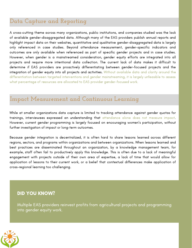## **Data Capture and Reporting**

A cross-cutting theme across many organizations, public institutions, and companies studied was the lack of available gender-disaggregated data. Although many of the EAS providers publish annual reports and highlight impact data on their websites, quantitative and qualitative gender-disaggregated data is largely only referenced in case studies. Beyond attendance measurement, gender-specific indicators and outcomes are only available when referenced as part of specific gender projects and in case studies. However, when gender is a mainstreamed consideration, gender equity efforts are integrated into all projects and require more intentional data collection. The current lack of data makes it difficult to determine if EAS providers are proactively differentiating between gender-focused projects and the integration of gender equity into all projects and activities. Without available data and clarity around the differentiation between targeted interventions and gender mainstreaming, it is largely unfeasible to assess what percentage of resources are allocated to EAS provider gender-focused work.

## **Impact Measurement and Continuous Learning**

While at smaller organizations data capture is limited to tracking attendance against gender quotas for trainings, interviewees expressed an understanding that attendance alone does not measure impact. However, current gender programming is largely focused on encouraging women's participation, without further investigation of impact or long-term outcomes.

Because gender integration is decentralized, it is often hard to share lessons learned across different regions, sectors, and programs within organizations and between organizations. When lessons learned and best practices are disseminated throughout an organization, by a knowledge management team, for example, staff often fail to productively apply this knowledge. This is often due to a lack of meaningful engagement with projects outside of their own area of expertise, a lack of time that would allow for application of lessons to their current work, or a belief that contextual differences make application of cross-regional learning too challenging.

#### DID YOU KNOW?

Multiple EAS providers reinvest profits from agricultural projects and programming into gender equity work.

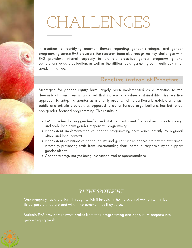# CHALLENGES

In addition to identifying common themes regarding gender strategies and gender programming across EAS providers, the research team also recognizes key challenges with EAS provider's internal capacity to promote proactive gender programming and comprehensive data collection, as well as the difficulties of garnering community buy-in for gender initiatives.

## **Reactive instead of Proactive**

Strategies for gender equity have largely been implemented as a reaction to the demands of consumers in a market that increasingly values sustainability. This reactive approach to adopting gender as a priority area, which is particularly notable amongst public and private providers as opposed to donor-funded organizations, has led to ad hoc gender-focused programming. This results in:

- EAS providers lacking gender-focused staff and sufficient financial resources to design and scale long-term gender-responsive programming
- Inconsistent implementation of gender programming that varies greatly by regional office and local context
- Inconsistent definitions of gender equity and gender inclusion that are not mainstreamed internally, preventing staff from understanding their individual responsibility to support gender efforts
- Gender strategy not yet being institutionalized or operationalized

#### *IN THE SPOTLIGHT*

One company has a platform through which it invests in the inclusion of women within both its corporate structure and within the communities they serve.

Multiple EAS providers reinvest profits from their programming and agriculture projects into gender equity work.

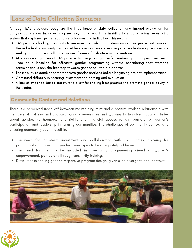## **Lack of Data Collection Resources**

Although EAS providers recognize the importance of data collection and impact evaluation for carrying out gender inclusive programming, many report the inability to enact a robust monitoring system that captures gender equitable outcomes and indicators. This results in:

- EAS providers lacking the ability to measure the mid- or long-term impact on gender outcomes at the individual, community, or market levels in continuous learning and evaluation cycles, despite seeking to prioritize smallholder women farmers for short-term interventions
- Attendance of women at EAS provider trainings and women's membership in cooperatives being used as a baseline for effective gender programming without considering that women's participation is only the first step towards gender equitable outcomes
- The inability to conduct comprehensive gender analyses before beginning project implementation
- Continued difficulty in securing investment for learning and evaluation
- A lack of evidence-based literature to allow for sharing best practices to promote gender equity in the sector.

#### Community Context and Relations

There is a perceived trade-off between maintaining trust and a positive working relationship with members of coffee- and cocoa-growing communities and working to transform local attitudes about gender. Furthermore, land rights and financial access remain barriers for women's participation and leadership in farming communities. The challenges of community context and ensuring community buy-in result in:

- The need for long-term investment and collaboration with communities, allowing for patriarchal structures and gender stereotypes to be adequately addressed
- The need for men to be included in community programming aimed at women's empowerment, particularly through sensitivity trainings
- Difficulties in scaling gender-responsive program design, given such divergent local contexts



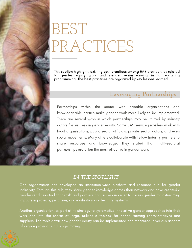# BEST PRACTICES

This section highlights existing best practices among EAS providers as related to gender equity work and gender mainstreaming in farmer-facing programming. The best practices are organized by key lessons learned.

### **Leveraging Partnerships**

Partnerships within the sector with capable organizations and knowledgeable parties make gender work more likely to be implemented. There are several ways in which partnerships may be utilized by industry actors for success in gender equity. Some EAS service providers work with local organizations, public sector officials, private sector actors, and even social movements. Many others collaborate with fellow industry partners to share resources and knowledge. They stated that multi-sectoral partnerships are often the most effective in gender work.

#### *IN THE SPOTLIGHT*

One organization has developed an institution-wide platform and resource hub for gender inclusivity. Through this hub, they share gender knowledge across their network and have created a gender readiness tool that staff and partners can access in order to assess gender mainstreaming impacts in projects, programs, and evaluation and learning systems.

Another organization, as part of its strategy to systematize innovative gender approaches into their work and into the sector at large, utilizes a toolbox for cocoa farming representatives and suppliers. The tools detail how gender equity can be implemented and measured in various aspects of service provision and programming.

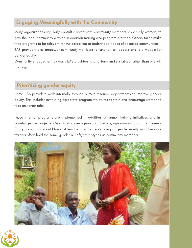### Engaging Meaningfully with the Community

Many organizations regularly consult directly with community members, especially women, to give the local community a voice in decision making and program creation. Others tailor-make their programs to be relevant for the perceived or understood needs of selected communities. EAS providers also empower community members to function as leaders and role models for gender equity.

Community engagement by many EAS providers is long-term and sustained rather than one-off trainings.

### Prioritizing gender equity

Some EAS providers work internally through human resource departments to improve gender equity. This includes instituting corporate program structures to train and encourage women to take on senior roles.

These internal programs are implemented in addition to farmer training initiatives and incountry gender projects. Organizations recognize that trainers, agronomists, and other farmerfacing individuals should have at least a basic understanding of gender equity work because trainers often hold the same gender beliefs/stereotypes as community members.



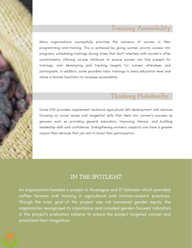## **Training Accessibility**

Many organizations successfully prioritize the inclusion of women in their programming and training. This is achieved by giving women priority access into programs, scheduling trainings during times that don't interfere with women's other commitments, offering on-site childcare to ensure women are fully present for trainings, and developing and tracking targets for women attendees and participants. In addition, some providers tailor trainings to every education level and utilize a female facilitator to increase accessibility.

## **Thinking Holistically**

Some EAS providers supplement technical agricultural skill development with services focusing on social issues and tangential skills that feed into women's success as growers such as providing general education, improving literacy, and building leadership skills and confidence. Strengthening women's capacity can have a greater impact than services that just aim to boost their participation.

### *IN THE SPOTLIGHT*

An organization headed a project in Nicaragua and El Salvador which provided coffee farmers with training in agricultural and climate-resilient practices. Though the main goal of the project was not increased gender equity, the organization recognized its importance and included gender-focused indicators in the project's evaluation scheme to ensure the project targeted women and prioritized their integration.

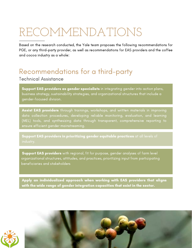## RECOMMENDATIONS

Based on the research conducted, the Yale team proposes the following recommendations for PGE, or any third-party provider, as well as recommendations for EAS providers and the coffee and cocoa industry as a whole:

## Recommendations for a third-party

Technical Assistance

Support EAS providers as gender specialists in integrating gender into action plans, business strategy, sustainability strategies, and organizational structures that include a gender-focused division.

Assist EAS providers through trainings, workshops, and written materials in improving data collection procedures, developing reliable monitoring, evaluation, and learning (MEL) tools, and synthesizing data through transparent, comprehensive reporting to ensure efficient gender mainstreaming.

Support EAS providers in prioritizing gender equitable practices at all levels of

Support EAS providers with regional, fit for purpose, gender analyses of farm level organizational structures, attitudes, and practices, prioritizing input from participating beneficiaries and stakeholders

Apply an individualized approach when working with EAS providers that aligns with the wide range of gender integration capacities that exist in the sector.



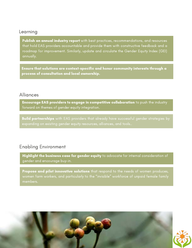#### Learning

Publish an annual industry report with best practices, recommendations, and resources that hold EAS providers accountable and provide them with constructive feedback and a roadmap for improvement. Similarly, update and circulate the Gender Equity Index (GEI) annually.

Ensure that solutions are context-specific and honor community interests through a process of consultation and local ownership.

#### Alliances

Encourage EAS providers to engage in competitive collaboration to push the industry forward on themes of gender equity integration.

**Build partnerships** with EAS providers that already have successful gender strategies by

#### Enabling Environment

Highlight the business case for gender equity to advocate for internal consideration of gender and encourage buy-in.

Propose and pilot innovative solutions that respond to the needs of women produces, women farm workers, and particularly to the "invisible" workforce of unpaid female family members.

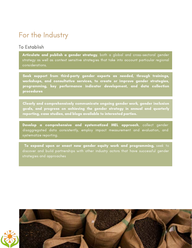## For the Industry

#### To Establish

Articulate and publish a gender strategy, both a global and cross-sectoral gender strategy as well as context sensitive strategies that take into account particular regional considerations.

Seek support from third-party gender experts as needed, through trainings, workshops, and consultative services, to create or improve gender strategies, programming, key performance indicator development, and data collection procedures

Clearly and comprehensively communicate ongoing gender work, gender inclusion goals, and progress on achieving the gender strategy in annual and quarterly reporting, case studies, and blogs available to interested parties.

Develop a comprehensive and systematized MEL approach, collect gender disaggregated data consistently, employ impact measurement and evaluation, and systematize reporting.

To expand upon or enact new gender equity work and programming, seek to discover and build partnerships with other industry actors that have successful gender strategies and approaches

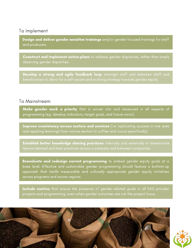#### To Implement

Design and deliver gender sensitive trainings and/or gender focused trainings for staff and producers.

**Construct and implement action plans** to address gender disparities, rather than simply observing gender disparities.

Develop a strong and agile feedback loop amongst staff and between staff and

#### To Mainstream

Make gender work a priority that is woven into and measured in all aspects of programming (eg. develop indicators, target goals, and future vision).

Improve consistency across sectors and services (i.e. replicating success in one area and applying learnings from various sectors to coffee and cocoa specifically).

**Establish better knowledge sharing practices** internally and externally to disseminate

make generation work a priority that is work a priority that is work and  $\alpha$  aspects of  $p$ 

Reevaluate and redesign current programming to embed gender equity goals at a base level. Effective and sustainable gender programming should feature a bottom-up approach that instills measurable and culturally appropriate gender equity initiatives across programs and across regions.

Include metrics that ensure the presence of gender-related goals in all EAS provider projects and programming, even when gender outcomes are not the project focus.

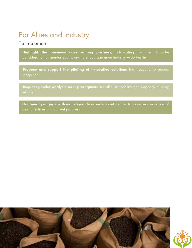## For Allies and Industry

#### To Implement

Highlight the business case among partners, advocating for their broader consideration of gender equity, and to encourage more industry-wide buy-in

Propose and support the piloting of innovative solutions that respond to gender inequities

Request gender analysis as a prerequisite for all sustainability and capacity building

Continually engage with industry-wide reports about gender to increase awareness of best practices and current progress

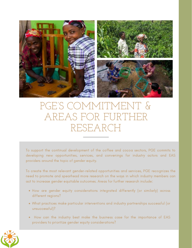

## PGE'S COMMITMENT & AREAS FOR FURTHER RESEARCH

To support the continual development of the coffee and cocoa sectors, PGE commits to developing new opportunities, services, and convenings for industry actors and EAS providers around the topic of gender equity.

To create the most relevant gender-related opportunities and services, PGE recognizes the need to promote and spearhead more research on the ways in which industry members can act to increase gender equitable outcomes. Areas for further research include:

- How are gender equity considerations integrated differently (or similarly) across different regions?
- What practices make particular interventions and industry partnerships successful (or unsuccessful)?
- How can the industry best make the business case for the importance of EAS providers to prioritize gender equity considerations?

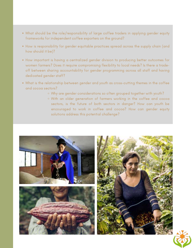- What should be the role/responsibility of large coffee traders in applying gender equity frameworks for independent coffee exporters on the ground?
- How is responsibility for gender equitable practices spread across the supply chain (and how should it be)?
- How important is having a centralized gender division to producing better outcomes for women farmers? Does it require compromising flexibility to local needs? Is there a tradeoff between sharing accountability for gender programming across all staff and having dedicated gender staff?
- What is the relationship between gender and youth as cross-cutting themes in the coffee and cocoa sectors?
	- Why are gender considerations so often grouped together with youth?
	- With an older generation of farmers working in the coffee and cocoa sectors, is the future of both sectors in danger? How can youth be encouraged to work in coffee and cocoa? How can gender equity solutions address this potential challenge?